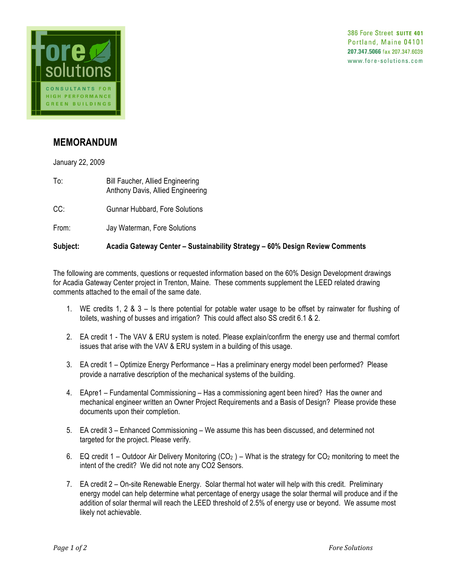



## **MEMORANDUM**

January 22, 2009

- To: Bill Faucher, Allied Engineering Anthony Davis, Allied Engineering
- CC: Gunnar Hubbard, Fore Solutions
- From: Jay Waterman, Fore Solutions

## **Subject: Acadia Gateway Center – Sustainability Strategy – 60% Design Review Comments**

The following are comments, questions or requested information based on the 60% Design Development drawings for Acadia Gateway Center project in Trenton, Maine. These comments supplement the LEED related drawing comments attached to the email of the same date.

- 1. WE credits 1, 2 & 3 Is there potential for potable water usage to be offset by rainwater for flushing of toilets, washing of busses and irrigation? This could affect also SS credit 6.1 & 2.
- 2. EA credit 1 The VAV & ERU system is noted. Please explain/confirm the energy use and thermal comfort issues that arise with the VAV & ERU system in a building of this usage.
- 3. EA credit 1 Optimize Energy Performance Has a preliminary energy model been performed? Please provide a narrative description of the mechanical systems of the building.
- 4. EApre1 Fundamental Commissioning Has a commissioning agent been hired? Has the owner and mechanical engineer written an Owner Project Requirements and a Basis of Design? Please provide these documents upon their completion.
- 5. EA credit 3 Enhanced Commissioning We assume this has been discussed, and determined not targeted for the project. Please verify.
- 6. EQ credit 1 Outdoor Air Delivery Monitoring  $(CO_2)$  What is the strategy for  $CO_2$  monitoring to meet the intent of the credit? We did not note any CO2 Sensors.
- 7. EA credit 2 On-site Renewable Energy. Solar thermal hot water will help with this credit. Preliminary energy model can help determine what percentage of energy usage the solar thermal will produce and if the addition of solar thermal will reach the LEED threshold of 2.5% of energy use or beyond. We assume most likely not achievable.